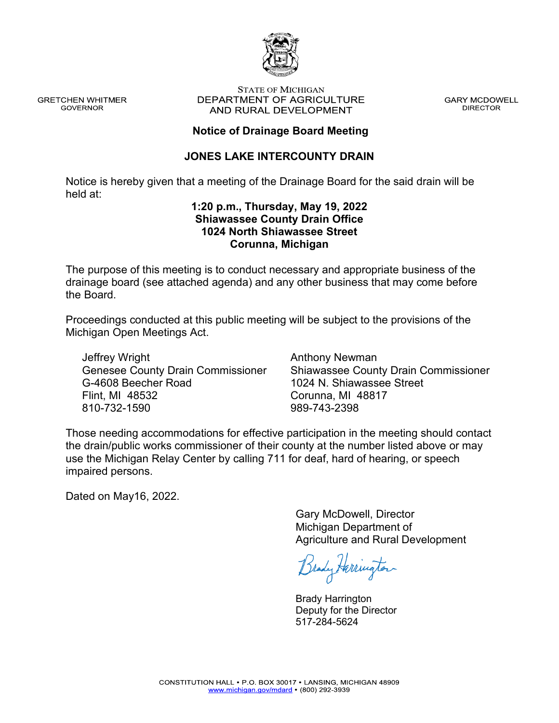

**GRETCHEN WHITMER GOVERNOR** 

#### **STATE OF MICHIGAN** DEPARTMENT OF AGRICULTURE AND RURAL DEVELOPMENT

**GARY MCDOWELL DIRECTOR** 

### **Notice of Drainage Board Meeting**

#### **JONES LAKE INTERCOUNTY DRAIN**

Notice is hereby given that a meeting of the Drainage Board for the said drain will be held at:

#### **1:20 p.m., Thursday, May 19, 2022 Shiawassee County Drain Office 1024 North Shiawassee Street Corunna, Michigan**

The purpose of this meeting is to conduct necessary and appropriate business of the drainage board (see attached agenda) and any other business that may come before the Board.

Proceedings conducted at this public meeting will be subject to the provisions of the Michigan Open Meetings Act.

Jeffrey Wright Genesee County Drain Commissioner G-4608 Beecher Road Flint, MI 48532 810-732-1590

Anthony Newman Shiawassee County Drain Commissioner 1024 N. Shiawassee Street Corunna, MI 48817 989-743-2398

Those needing accommodations for effective participation in the meeting should contact the drain/public works commissioner of their county at the number listed above or may use the Michigan Relay Center by calling 711 for deaf, hard of hearing, or speech impaired persons.

Dated on May16, 2022.

Gary McDowell, Director Michigan Department of Agriculture and Rural Development

Brady Herrington

Brady Harrington Deputy for the Director 517-284-5624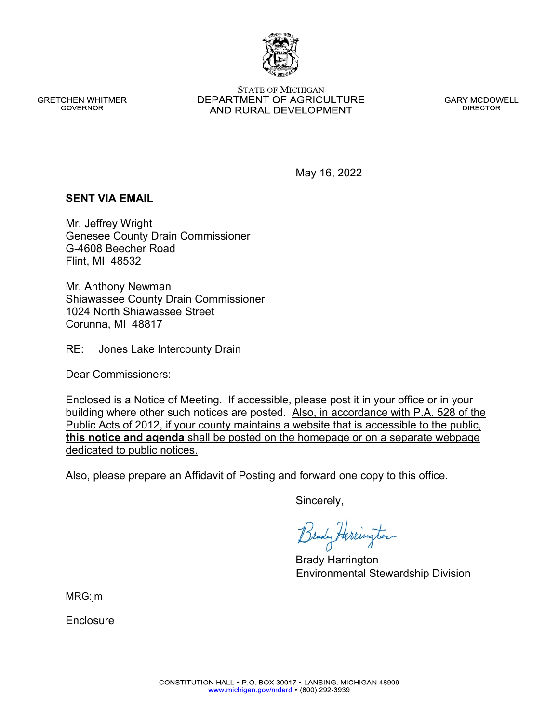**GRETCHEN WHITMER GOVERNOR** 

**STATE OF MICHIGAN** DEPARTMENT OF AGRICULTURE AND RURAL DEVELOPMENT

**GARY MCDOWELL DIRECTOR** 

May 16, 2022

#### **SENT VIA EMAIL**

Mr. Jeffrey Wright Genesee County Drain Commissioner G-4608 Beecher Road Flint, MI 48532

Mr. Anthony Newman Shiawassee County Drain Commissioner 1024 North Shiawassee Street Corunna, MI 48817

RE: Jones Lake Intercounty Drain

Dear Commissioners:

Enclosed is a Notice of Meeting. If accessible, please post it in your office or in your building where other such notices are posted. Also, in accordance with P.A. 528 of the Public Acts of 2012, if your county maintains a website that is accessible to the public, **this notice and agenda** shall be posted on the homepage or on a separate webpage dedicated to public notices.

Also, please prepare an Affidavit of Posting and forward one copy to this office.

Sincerely,

Brady Harrington Environmental Stewardship Division

MRG:jm

Enclosure